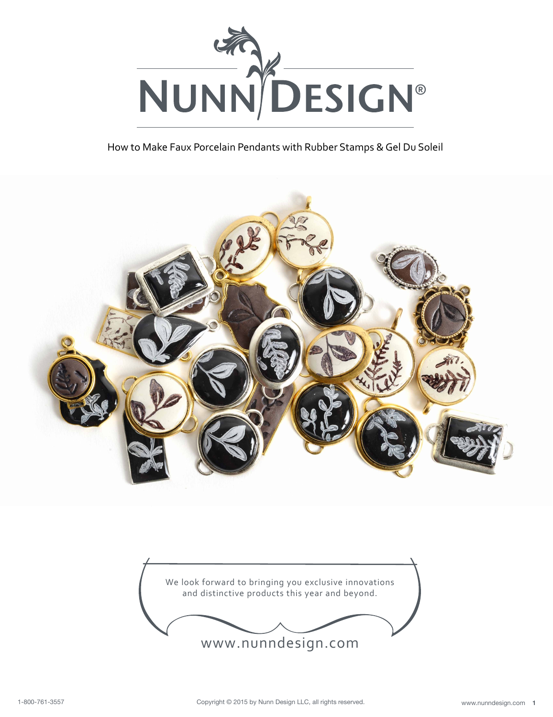

How to Make Faux Porcelain Pendants with Rubber Stamps & Gel Du Soleil





www.nunndesign.com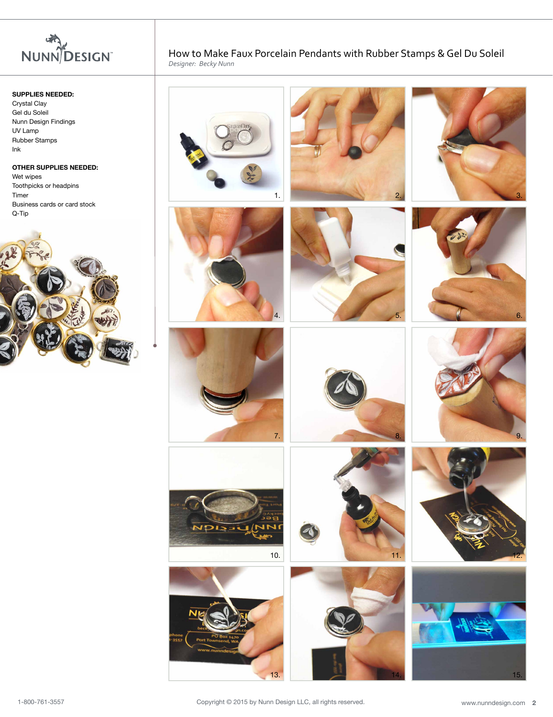

# **SUPPLIES NEEDED:**

Crystal Clay Gel du Soleil Nunn Design Findings UV Lamp Rubber Stamps Ink

#### **OTHER SUPPLIES NEEDED:**

Wet wipes Toothpicks or headpins Timer Business cards or card stock Q-Tip



How to Make Faux Porcelain Pendants with Rubber Stamps & Gel Du Soleil *Designer: Becky Nunn*

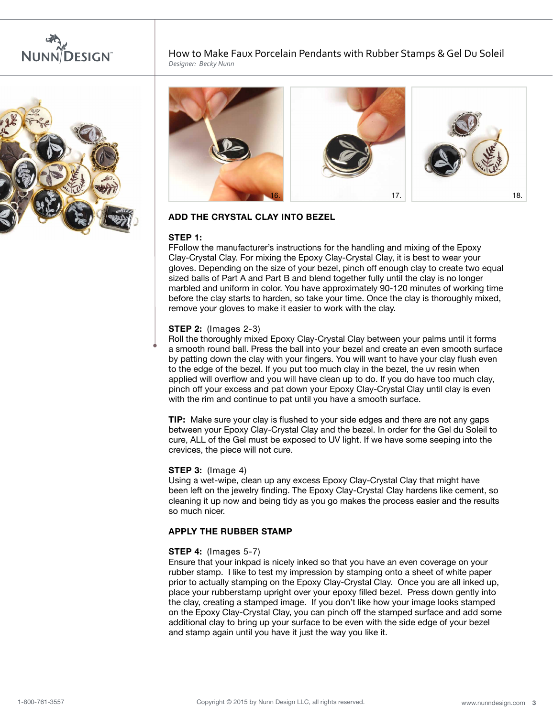



How to Make Faux Porcelain Pendants with Rubber Stamps & Gel Du Soleil *Designer: Becky Nunn*



# **Add the Crystal Clay into Bezel**

## **Step 1:**

FFollow the manufacturer's instructions for the handling and mixing of the Epoxy Clay-Crystal Clay. For mixing the Epoxy Clay-Crystal Clay, it is best to wear your gloves. Depending on the size of your bezel, pinch off enough clay to create two equal sized balls of Part A and Part B and blend together fully until the clay is no longer marbled and uniform in color. You have approximately 90-120 minutes of working time before the clay starts to harden, so take your time. Once the clay is thoroughly mixed, remove your gloves to make it easier to work with the clay.

#### **Step 2:** (Images 2-3)

Roll the thoroughly mixed Epoxy Clay-Crystal Clay between your palms until it forms a smooth round ball. Press the ball into your bezel and create an even smooth surface by patting down the clay with your fingers. You will want to have your clay flush even to the edge of the bezel. If you put too much clay in the bezel, the uv resin when applied will overflow and you will have clean up to do. If you do have too much clay, pinch off your excess and pat down your Epoxy Clay-Crystal Clay until clay is even with the rim and continue to pat until you have a smooth surface.

**Tip:** Make sure your clay is flushed to your side edges and there are not any gaps between your Epoxy Clay-Crystal Clay and the bezel. In order for the Gel du Soleil to cure, ALL of the Gel must be exposed to UV light. If we have some seeping into the crevices, the piece will not cure.

#### **Step 3:** (Image 4)

Using a wet-wipe, clean up any excess Epoxy Clay-Crystal Clay that might have been left on the jewelry finding. The Epoxy Clay-Crystal Clay hardens like cement, so cleaning it up now and being tidy as you go makes the process easier and the results so much nicer.

## **Apply the Rubber Stamp**

### **Step 4:** (Images 5-7)

Ensure that your inkpad is nicely inked so that you have an even coverage on your rubber stamp. I like to test my impression by stamping onto a sheet of white paper prior to actually stamping on the Epoxy Clay-Crystal Clay. Once you are all inked up, place your rubberstamp upright over your epoxy filled bezel. Press down gently into the clay, creating a stamped image. If you don't like how your image looks stamped on the Epoxy Clay-Crystal Clay, you can pinch off the stamped surface and add some additional clay to bring up your surface to be even with the side edge of your bezel and stamp again until you have it just the way you like it.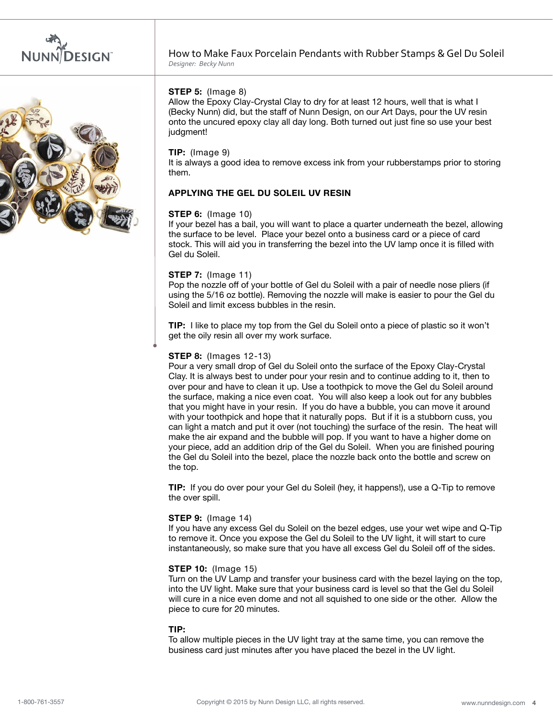



## **Step 5:** (Image 8)

Allow the Epoxy Clay-Crystal Clay to dry for at least 12 hours, well that is what I (Becky Nunn) did, but the staff of Nunn Design, on our Art Days, pour the UV resin onto the uncured epoxy clay all day long. Both turned out just fine so use your best judgment!

### **Tip:** (Image 9)

It is always a good idea to remove excess ink from your rubberstamps prior to storing them.

## **Applying the Gel du Soleil UV Resin**

## **Step 6:** (Image 10)

If your bezel has a bail, you will want to place a quarter underneath the bezel, allowing the surface to be level. Place your bezel onto a business card or a piece of card stock. This will aid you in transferring the bezel into the UV lamp once it is filled with Gel du Soleil.

## **Step 7:** (Image 11)

Pop the nozzle off of your bottle of Gel du Soleil with a pair of needle nose pliers (if using the 5/16 oz bottle). Removing the nozzle will make is easier to pour the Gel du Soleil and limit excess bubbles in the resin.

**Tip:** I like to place my top from the Gel du Soleil onto a piece of plastic so it won't get the oily resin all over my work surface.

### **Step 8:** (Images 12-13)

Pour a very small drop of Gel du Soleil onto the surface of the Epoxy Clay-Crystal Clay. It is always best to under pour your resin and to continue adding to it, then to over pour and have to clean it up. Use a toothpick to move the Gel du Soleil around the surface, making a nice even coat. You will also keep a look out for any bubbles that you might have in your resin. If you do have a bubble, you can move it around with your toothpick and hope that it naturally pops. But if it is a stubborn cuss, you can light a match and put it over (not touching) the surface of the resin. The heat will make the air expand and the bubble will pop. If you want to have a higher dome on your piece, add an addition drip of the Gel du Soleil. When you are finished pouring the Gel du Soleil into the bezel, place the nozzle back onto the bottle and screw on the top.

**Tip:** If you do over pour your Gel du Soleil (hey, it happens!), use a Q-Tip to remove the over spill.

#### **Step 9:** (Image 14)

If you have any excess Gel du Soleil on the bezel edges, use your wet wipe and Q-Tip to remove it. Once you expose the Gel du Soleil to the UV light, it will start to cure instantaneously, so make sure that you have all excess Gel du Soleil off of the sides.

### **Step 10:** (Image 15)

Turn on the UV Lamp and transfer your business card with the bezel laying on the top, into the UV light. Make sure that your business card is level so that the Gel du Soleil will cure in a nice even dome and not all squished to one side or the other. Allow the piece to cure for 20 minutes.

### **TIP:**

To allow multiple pieces in the UV light tray at the same time, you can remove the business card just minutes after you have placed the bezel in the UV light.